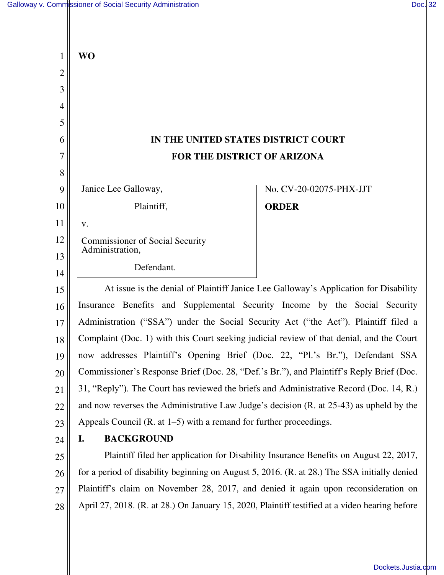|          | <b>WO</b>                                                                                                                                                                           |
|----------|-------------------------------------------------------------------------------------------------------------------------------------------------------------------------------------|
| 2        |                                                                                                                                                                                     |
| 3        |                                                                                                                                                                                     |
| 4        |                                                                                                                                                                                     |
| 5        |                                                                                                                                                                                     |
| 6        | IN THE UNITED STATES DISTRICT COURT                                                                                                                                                 |
| 7        | FOR THE DISTRICT OF ARIZONA                                                                                                                                                         |
| 8        |                                                                                                                                                                                     |
| 9        | Janice Lee Galloway,<br>No. CV-20-02075-PHX-JJT                                                                                                                                     |
| 10       | Plaintiff,<br><b>ORDER</b>                                                                                                                                                          |
| 11       | V.                                                                                                                                                                                  |
| 12       | <b>Commissioner of Social Security</b><br>Administration,                                                                                                                           |
| 13       | Defendant.                                                                                                                                                                          |
| 14       |                                                                                                                                                                                     |
| 15       | At issue is the denial of Plaintiff Janice Lee Galloway's Application for Disability                                                                                                |
| 16       | Insurance Benefits and Supplemental Security Income by the Social Security                                                                                                          |
| 17       | Administration ("SSA") under the Social Security Act ("the Act"). Plaintiff filed a                                                                                                 |
| 18       | Complaint (Doc. 1) with this Court seeking judicial review of that denial, and the Court                                                                                            |
| 19       | now addresses Plaintiff's Opening Brief (Doc. 22, "Pl.'s Br."), Defendant SSA                                                                                                       |
| 20       | Commissioner's Response Brief (Doc. 28, "Def.'s Br."), and Plaintiff's Reply Brief (Doc.<br>31, "Reply"). The Court has reviewed the briefs and Administrative Record (Doc. 14, R.) |
| 21       | and now reverses the Administrative Law Judge's decision (R. at 25-43) as upheld by the                                                                                             |
| 22       | Appeals Council (R. at $1-5$ ) with a remand for further proceedings.                                                                                                               |
| 23       | <b>BACKGROUND</b><br>I.                                                                                                                                                             |
| 24       | Plaintiff filed her application for Disability Insurance Benefits on August 22, 2017,                                                                                               |
| 25<br>26 | for a period of disability beginning on August 5, 2016. (R. at 28.) The SSA initially denied                                                                                        |
| 27       | Plaintiff's claim on November 28, 2017, and denied it again upon reconsideration on                                                                                                 |
| 28       | April 27, 2018. (R. at 28.) On January 15, 2020, Plaintiff testified at a video hearing before                                                                                      |
|          |                                                                                                                                                                                     |
|          |                                                                                                                                                                                     |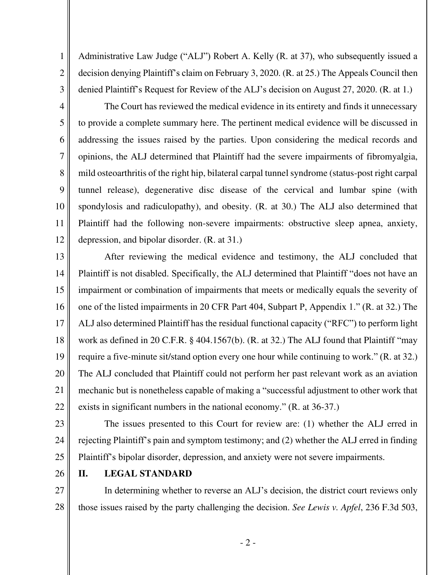Administrative Law Judge ("ALJ") Robert A. Kelly (R. at 37), who subsequently issued a decision denying Plaintiff's claim on February 3, 2020. (R. at 25.) The Appeals Council then denied Plaintiff's Request for Review of the ALJ's decision on August 27, 2020. (R. at 1.)

3 4 5

6

7

8

9

10

11

12

1

2

The Court has reviewed the medical evidence in its entirety and finds it unnecessary to provide a complete summary here. The pertinent medical evidence will be discussed in addressing the issues raised by the parties. Upon considering the medical records and opinions, the ALJ determined that Plaintiff had the severe impairments of fibromyalgia, mild osteoarthritis of the right hip, bilateral carpal tunnel syndrome (status-post right carpal tunnel release), degenerative disc disease of the cervical and lumbar spine (with spondylosis and radiculopathy), and obesity. (R. at 30.) The ALJ also determined that Plaintiff had the following non-severe impairments: obstructive sleep apnea, anxiety, depression, and bipolar disorder. (R. at 31.)

13 14 15 16 17 18 19 20 21 22 After reviewing the medical evidence and testimony, the ALJ concluded that Plaintiff is not disabled. Specifically, the ALJ determined that Plaintiff "does not have an impairment or combination of impairments that meets or medically equals the severity of one of the listed impairments in 20 CFR Part 404, Subpart P, Appendix 1." (R. at 32.) The ALJ also determined Plaintiff has the residual functional capacity ("RFC") to perform light work as defined in 20 C.F.R. § 404.1567(b). (R. at 32.) The ALJ found that Plaintiff "may require a five-minute sit/stand option every one hour while continuing to work." (R. at 32.) The ALJ concluded that Plaintiff could not perform her past relevant work as an aviation mechanic but is nonetheless capable of making a "successful adjustment to other work that exists in significant numbers in the national economy." (R. at 36-37.)

23 24 25 The issues presented to this Court for review are: (1) whether the ALJ erred in rejecting Plaintiff's pain and symptom testimony; and (2) whether the ALJ erred in finding Plaintiff's bipolar disorder, depression, and anxiety were not severe impairments.

26

# **II. LEGAL STANDARD**

27 28 In determining whether to reverse an ALJ's decision, the district court reviews only those issues raised by the party challenging the decision. *See Lewis v. Apfel*, 236 F.3d 503,

- 2 -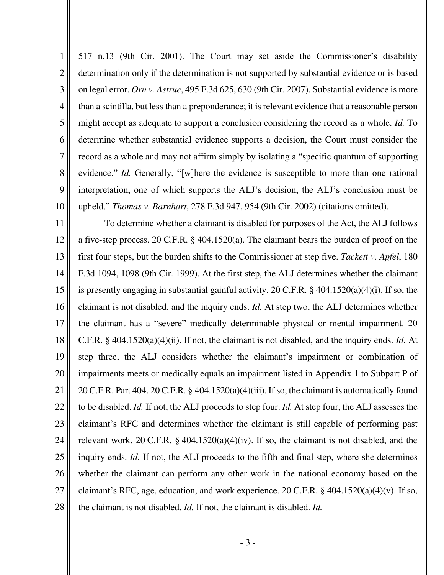1 2 3 4 5 6 7 8 9 517 n.13 (9th Cir. 2001). The Court may set aside the Commissioner's disability determination only if the determination is not supported by substantial evidence or is based on legal error. *Orn v. Astrue*, 495 F.3d 625, 630 (9th Cir. 2007). Substantial evidence is more than a scintilla, but less than a preponderance; it is relevant evidence that a reasonable person might accept as adequate to support a conclusion considering the record as a whole. *Id.* To determine whether substantial evidence supports a decision, the Court must consider the record as a whole and may not affirm simply by isolating a "specific quantum of supporting evidence." *Id.* Generally, "[w]here the evidence is susceptible to more than one rational interpretation, one of which supports the ALJ's decision, the ALJ's conclusion must be upheld." *Thomas v. Barnhart*, 278 F.3d 947, 954 (9th Cir. 2002) (citations omitted).

10

11 12 13 14 15 16 17 18 19 20 21 22 23 24 25 26 27 28 To determine whether a claimant is disabled for purposes of the Act, the ALJ follows a five-step process. 20 C.F.R. § 404.1520(a). The claimant bears the burden of proof on the first four steps, but the burden shifts to the Commissioner at step five. *Tackett v. Apfel*, 180 F.3d 1094, 1098 (9th Cir. 1999). At the first step, the ALJ determines whether the claimant is presently engaging in substantial gainful activity. 20 C.F.R. § 404.1520(a)(4)(i). If so, the claimant is not disabled, and the inquiry ends. *Id.* At step two, the ALJ determines whether the claimant has a "severe" medically determinable physical or mental impairment. 20 C.F.R. § 404.1520(a)(4)(ii). If not, the claimant is not disabled, and the inquiry ends. *Id.* At step three, the ALJ considers whether the claimant's impairment or combination of impairments meets or medically equals an impairment listed in Appendix 1 to Subpart P of 20 C.F.R. Part 404. 20 C.F.R. § 404.1520(a)(4)(iii). If so, the claimant is automatically found to be disabled. *Id.* If not, the ALJ proceeds to step four. *Id.* At step four, the ALJ assesses the claimant's RFC and determines whether the claimant is still capable of performing past relevant work. 20 C.F.R.  $\S$  404.1520(a)(4)(iv). If so, the claimant is not disabled, and the inquiry ends. *Id.* If not, the ALJ proceeds to the fifth and final step, where she determines whether the claimant can perform any other work in the national economy based on the claimant's RFC, age, education, and work experience. 20 C.F.R.  $\S$  404.1520(a)(4)(v). If so, the claimant is not disabled. *Id.* If not, the claimant is disabled. *Id.*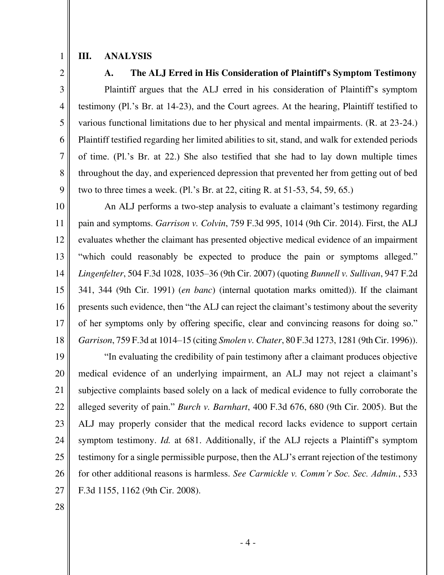1

### **III. ANALYSIS**

2

3

4

5

6

7

8

9

### **A. The ALJ Erred in His Consideration of Plaintiff's Symptom Testimony**

Plaintiff argues that the ALJ erred in his consideration of Plaintiff's symptom testimony (Pl.'s Br. at 14-23), and the Court agrees. At the hearing, Plaintiff testified to various functional limitations due to her physical and mental impairments. (R. at 23-24.) Plaintiff testified regarding her limited abilities to sit, stand, and walk for extended periods of time. (Pl.'s Br. at 22.) She also testified that she had to lay down multiple times throughout the day, and experienced depression that prevented her from getting out of bed two to three times a week. (Pl.'s Br. at 22, citing R. at 51-53, 54, 59, 65.)

10 11 12 13 14 15 16 17 18 An ALJ performs a two-step analysis to evaluate a claimant's testimony regarding pain and symptoms. *Garrison v. Colvin*, 759 F.3d 995, 1014 (9th Cir. 2014). First, the ALJ evaluates whether the claimant has presented objective medical evidence of an impairment "which could reasonably be expected to produce the pain or symptoms alleged." *Lingenfelter*, 504 F.3d 1028, 1035–36 (9th Cir. 2007) (quoting *Bunnell v. Sullivan*, 947 F.2d 341, 344 (9th Cir. 1991) (*en banc*) (internal quotation marks omitted)). If the claimant presents such evidence, then "the ALJ can reject the claimant's testimony about the severity of her symptoms only by offering specific, clear and convincing reasons for doing so." *Garrison*, 759 F.3d at 1014–15 (citing *Smolen v. Chater*, 80 F.3d 1273, 1281 (9th Cir. 1996)).

19 20 21 22 23 24 25 26 27 "In evaluating the credibility of pain testimony after a claimant produces objective medical evidence of an underlying impairment, an ALJ may not reject a claimant's subjective complaints based solely on a lack of medical evidence to fully corroborate the alleged severity of pain." *Burch v. Barnhart*, 400 F.3d 676, 680 (9th Cir. 2005). But the ALJ may properly consider that the medical record lacks evidence to support certain symptom testimony. *Id.* at 681. Additionally, if the ALJ rejects a Plaintiff's symptom testimony for a single permissible purpose, then the ALJ's errant rejection of the testimony for other additional reasons is harmless. *See Carmickle v. Comm'r Soc. Sec. Admin.*, 533 F.3d 1155, 1162 (9th Cir. 2008).

28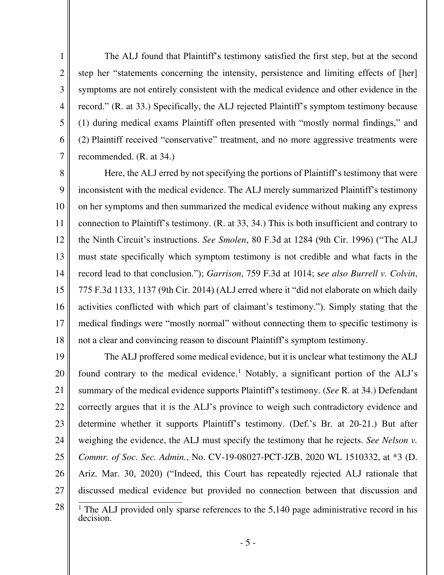The ALJ found that Plaintiff's testimony satisfied the first step, but at the second step her "statements concerning the intensity, persistence and limiting effects of [her] symptoms are not entirely consistent with the medical evidence and other evidence in the record." (R. at 33.) Specifically, the ALJ rejected Plaintiff's symptom testimony because (1) during medical exams Plaintiff often presented with "mostly normal findings," and (2) Plaintiff received "conservative" treatment, and no more aggressive treatments were recommended. (R. at 34.)

1

2

3

4

5

6

7

8 9 10 11 12 13 14 15 16 17 18 Here, the ALJ erred by not specifying the portions of Plaintiff's testimony that were inconsistent with the medical evidence. The ALJ merely summarized Plaintiff's testimony on her symptoms and then summarized the medical evidence without making any express connection to Plaintiff's testimony. (R. at 33, 34.) This is both insufficient and contrary to the Ninth Circuit's instructions. *See Smolen*, 80 F.3d at 1284 (9th Cir. 1996) ("The ALJ must state specifically which symptom testimony is not credible and what facts in the record lead to that conclusion."); *Garrison*, 759 F.3d at 1014; s*ee also Burrell v. Colvin*, 775 F.3d 1133, 1137 (9th Cir. 2014) (ALJ erred where it "did not elaborate on which daily activities conflicted with which part of claimant's testimony."). Simply stating that the medical findings were "mostly normal" without connecting them to specific testimony is not a clear and convincing reason to discount Plaintiff's symptom testimony.

19 20 21 22 23 24 25 26 27 28 The ALJ proffered some medical evidence, but it is unclear what testimony the ALJ found contrary to the medical evidence.<sup>1</sup> Notably, a significant portion of the ALJ's summary of the medical evidence supports Plaintiff's testimony. (*See* R. at 34.) Defendant correctly argues that it is the ALJ's province to weigh such contradictory evidence and determine whether it supports Plaintiff's testimony. (Def.'s Br. at 20-21.) But after weighing the evidence, the ALJ must specify the testimony that he rejects. *See Nelson v. Commr. of Soc. Sec. Admin.*, No. CV-19-08027-PCT-JZB, 2020 WL 1510332, at \*3 (D. Ariz. Mar. 30, 2020) ("Indeed, this Court has repeatedly rejected ALJ rationale that discussed medical evidence but provided no connection between that discussion and

<sup>&</sup>lt;sup>1</sup> The ALJ provided only sparse references to the  $5,140$  page administrative record in his decision.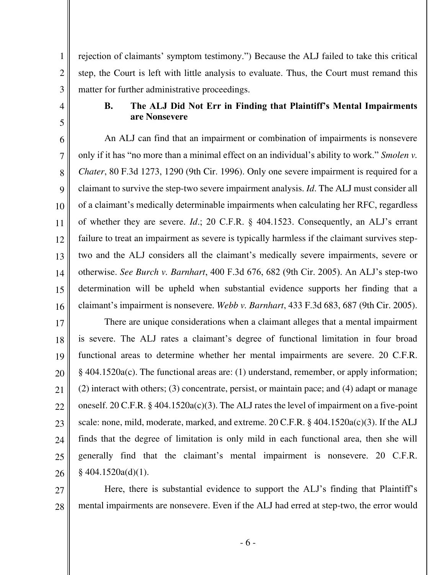rejection of claimants' symptom testimony.") Because the ALJ failed to take this critical step, the Court is left with little analysis to evaluate. Thus, the Court must remand this matter for further administrative proceedings.

4

1

2

3

5

# **B. The ALJ Did Not Err in Finding that Plaintiff's Mental Impairments are Nonsevere**

6 7 8 9 10 11 12 13 14 15 16 An ALJ can find that an impairment or combination of impairments is nonsevere only if it has "no more than a minimal effect on an individual's ability to work." *Smolen v. Chater*, 80 F.3d 1273, 1290 (9th Cir. 1996). Only one severe impairment is required for a claimant to survive the step-two severe impairment analysis. *Id*. The ALJ must consider all of a claimant's medically determinable impairments when calculating her RFC, regardless of whether they are severe. *Id*.; 20 C.F.R. § 404.1523. Consequently, an ALJ's errant failure to treat an impairment as severe is typically harmless if the claimant survives steptwo and the ALJ considers all the claimant's medically severe impairments, severe or otherwise. *See Burch v. Barnhart*, 400 F.3d 676, 682 (9th Cir. 2005). An ALJ's step-two determination will be upheld when substantial evidence supports her finding that a claimant's impairment is nonsevere. *Webb v. Barnhart*, 433 F.3d 683, 687 (9th Cir. 2005).

17 18 19 20 21 22 23 24 25 26 There are unique considerations when a claimant alleges that a mental impairment is severe. The ALJ rates a claimant's degree of functional limitation in four broad functional areas to determine whether her mental impairments are severe. 20 C.F.R. § 404.1520a(c). The functional areas are: (1) understand, remember, or apply information; (2) interact with others; (3) concentrate, persist, or maintain pace; and (4) adapt or manage oneself. 20 C.F.R. § 404.1520a(c)(3). The ALJ rates the level of impairment on a five-point scale: none, mild, moderate, marked, and extreme. 20 C.F.R. § 404.1520a(c)(3). If the ALJ finds that the degree of limitation is only mild in each functional area, then she will generally find that the claimant's mental impairment is nonsevere. 20 C.F.R.  $§$  404.1520a(d)(1).

27 28 Here, there is substantial evidence to support the ALJ's finding that Plaintiff's mental impairments are nonsevere. Even if the ALJ had erred at step-two, the error would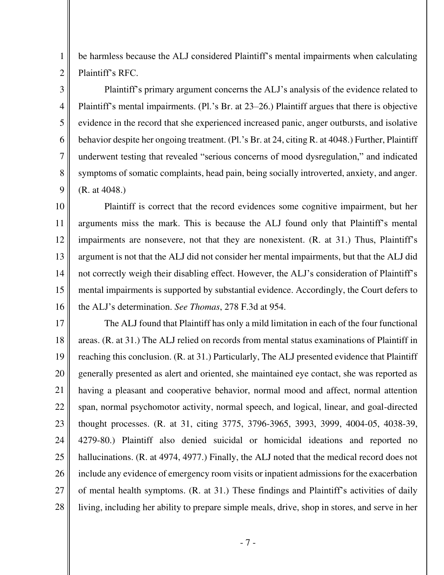be harmless because the ALJ considered Plaintiff's mental impairments when calculating Plaintiff's RFC.

1

2

3

4

5

6

7

8

9

Plaintiff's primary argument concerns the ALJ's analysis of the evidence related to Plaintiff's mental impairments. (Pl.'s Br. at 23–26.) Plaintiff argues that there is objective evidence in the record that she experienced increased panic, anger outbursts, and isolative behavior despite her ongoing treatment. (Pl.'s Br. at 24, citing R. at 4048.) Further, Plaintiff underwent testing that revealed "serious concerns of mood dysregulation," and indicated symptoms of somatic complaints, head pain, being socially introverted, anxiety, and anger. (R. at 4048.)

10 11 12 13 14 15 16 Plaintiff is correct that the record evidences some cognitive impairment, but her arguments miss the mark. This is because the ALJ found only that Plaintiff's mental impairments are nonsevere, not that they are nonexistent. (R. at 31.) Thus, Plaintiff's argument is not that the ALJ did not consider her mental impairments, but that the ALJ did not correctly weigh their disabling effect. However, the ALJ's consideration of Plaintiff's mental impairments is supported by substantial evidence. Accordingly, the Court defers to the ALJ's determination. *See Thomas*, 278 F.3d at 954.

17 18 19 20 21 22 23 24 25 26 27 28 The ALJ found that Plaintiff has only a mild limitation in each of the four functional areas. (R. at 31.) The ALJ relied on records from mental status examinations of Plaintiff in reaching this conclusion. (R. at 31.) Particularly, The ALJ presented evidence that Plaintiff generally presented as alert and oriented, she maintained eye contact, she was reported as having a pleasant and cooperative behavior, normal mood and affect, normal attention span, normal psychomotor activity, normal speech, and logical, linear, and goal-directed thought processes. (R. at 31, citing 3775, 3796-3965, 3993, 3999, 4004-05, 4038-39, 4279-80.) Plaintiff also denied suicidal or homicidal ideations and reported no hallucinations. (R. at 4974, 4977.) Finally, the ALJ noted that the medical record does not include any evidence of emergency room visits or inpatient admissions for the exacerbation of mental health symptoms. (R. at 31.) These findings and Plaintiff's activities of daily living, including her ability to prepare simple meals, drive, shop in stores, and serve in her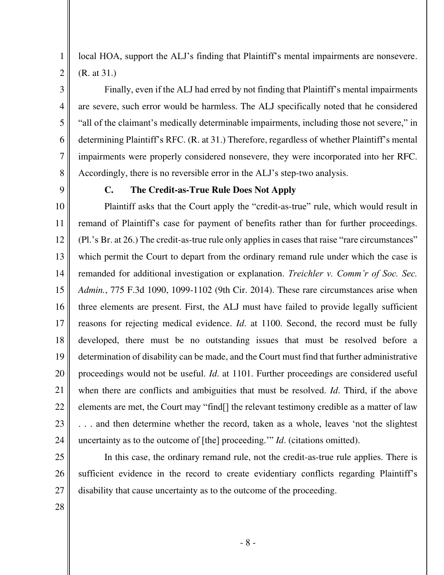2 3

4

5

6

7

1

local HOA, support the ALJ's finding that Plaintiff's mental impairments are nonsevere. (R. at 31.)

Finally, even if the ALJ had erred by not finding that Plaintiff's mental impairments are severe, such error would be harmless. The ALJ specifically noted that he considered "all of the claimant's medically determinable impairments, including those not severe," in determining Plaintiff's RFC. (R. at 31.) Therefore, regardless of whether Plaintiff's mental impairments were properly considered nonsevere, they were incorporated into her RFC. Accordingly, there is no reversible error in the ALJ's step-two analysis.

8 9

#### **C. The Credit-as-True Rule Does Not Apply**

10 11 12 13 14 15 16 17 18 19 20 21 22 23 24 Plaintiff asks that the Court apply the "credit-as-true" rule, which would result in remand of Plaintiff's case for payment of benefits rather than for further proceedings. (Pl.'s Br. at 26.) The credit-as-true rule only applies in cases that raise "rare circumstances" which permit the Court to depart from the ordinary remand rule under which the case is remanded for additional investigation or explanation. *Treichler v. Comm'r of Soc. Sec. Admin.*, 775 F.3d 1090, 1099-1102 (9th Cir. 2014). These rare circumstances arise when three elements are present. First, the ALJ must have failed to provide legally sufficient reasons for rejecting medical evidence. *Id*. at 1100. Second, the record must be fully developed, there must be no outstanding issues that must be resolved before a determination of disability can be made, and the Court must find that further administrative proceedings would not be useful. *Id*. at 1101. Further proceedings are considered useful when there are conflicts and ambiguities that must be resolved. *Id*. Third, if the above elements are met, the Court may "find[] the relevant testimony credible as a matter of law . . . and then determine whether the record, taken as a whole, leaves 'not the slightest uncertainty as to the outcome of [the] proceeding.'" *Id*. (citations omitted).

25 26 27 In this case, the ordinary remand rule, not the credit-as-true rule applies. There is sufficient evidence in the record to create evidentiary conflicts regarding Plaintiff's disability that cause uncertainty as to the outcome of the proceeding.

28